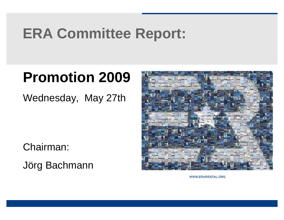# **ERA Committee Report:**

# **Promotion 2009**

Wednesday, May 27th

Chairman:

Jörg Bachmann



WWW.ERARENTAL.ORG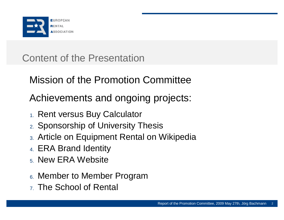

Content of the Presentation

Mission of the Promotion Committee

Achievements and ongoing projects:

- 1. Rent versus Buy Calculator
- 2. Sponsorship of University Thesis
- 3. Article on Equipment Rental on Wikipedia
- 4. ERA Brand Identity
- 5. New ERA Website
- 6. Member to Member Program
- 7. The School of Rental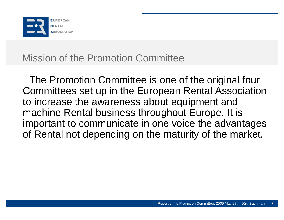

### Mission of the Promotion Committee

The Promotion Committee is one of the original four Committees set up in the European Rental Association to increase the awareness about equipment and machine Rental business throughout Europe. It is important to communicate in one voice the advantages of Rental not depending on the maturity of the market.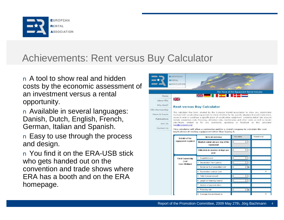

### Achievements: Rent versus Buy Calculator

n A tool to show real and hidden costs by the economic assessment of an investment versus a rental opportunity.

n Available in several languages: Danish, Dutch, English, French, German, Italian and Spanish.

n Easy to use through the process and design.

n You find it on the ERA-USB stick who gets handed out on the convention and trade shows where ERA has a booth and on the ERA homepage.

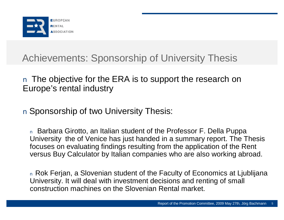

## Achievements: Sponsorship of University Thesis

#### n The objective for the ERA is to support the research on Europe's rental industry

#### n Sponsorship of two University Thesis:

<sup>n</sup> Barbara Girotto, an Italian student of the Professor F. Della Puppa University the of Venice has just handed in a summary report. The Thesis focuses on evaluating findings resulting from the application of the Rent versus Buy Calculator by Italian companies who are also working abroad.

<sup>n</sup> Rok Ferjan, a Slovenian student of the Faculty of Economics at Ljublijana University. It will deal with investment decisions and renting of small construction machines on the Slovenian Rental market.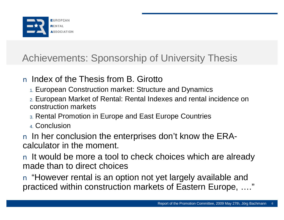

## Achievements: Sponsorship of University Thesis

#### n Index of the Thesis from B. Girotto

- 1. European Construction market: Structure and Dynamics
- 2. European Market of Rental: Rental Indexes and rental incidence on construction markets
- 3. Rental Promotion in Europe and East Europe Countries
- 4. Conclusion
- n In her conclusion the enterprises don't know the ERAcalculator in the moment.
- n It would be more a tool to check choices which are already made than to direct choices
- n "However rental is an option not yet largely available and practiced within construction markets of Eastern Europe, …."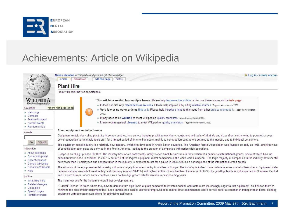

### Achievements: Article on Wikipedia

|                                                                            | Make a donation to Wikipedia and give the gift of knowledge!<br>article<br>discussion<br>edit this page<br>history                                                                                                                                                                                                                                                                                                                                                                                                                                 | & Log in / create accoun |
|----------------------------------------------------------------------------|----------------------------------------------------------------------------------------------------------------------------------------------------------------------------------------------------------------------------------------------------------------------------------------------------------------------------------------------------------------------------------------------------------------------------------------------------------------------------------------------------------------------------------------------------|--------------------------|
|                                                                            | <b>Plant Hire</b>                                                                                                                                                                                                                                                                                                                                                                                                                                                                                                                                  |                          |
|                                                                            | From Wikipedia, the free encyclopedia                                                                                                                                                                                                                                                                                                                                                                                                                                                                                                              |                          |
| WIKIPEDIA<br>The Free Encyclopedia                                         | This article or section has multiple issues. Please help improve the article or discuss these issues on the talk page.<br>In the does not cite any references or sources. Please help improve it by citing reliable sources. Tagged since March 2009.                                                                                                                                                                                                                                                                                              |                          |
| navigation<br>• Main page                                                  | Visit the main page [alt-z]<br>" Very few or no other articles link to it. Please help introduce links to this page from other articles related to it. Tagged since March<br>2009.                                                                                                                                                                                                                                                                                                                                                                 |                          |
| Contents<br>Featured content                                               | It may need to be wikified to meet Wikipedia's quality standards. Tagged since March 2009.                                                                                                                                                                                                                                                                                                                                                                                                                                                         |                          |
| Current events<br>• Random article                                         | It may require general cleanup to meet Wikipedia's quality standards. Tagged since March 2009.                                                                                                                                                                                                                                                                                                                                                                                                                                                     |                          |
| search                                                                     | About equipment rental in Europe                                                                                                                                                                                                                                                                                                                                                                                                                                                                                                                   |                          |
| Search<br>Go                                                               | Equipment rental, also called plant hire in some countries, is a service industry providing machinery, equipment and tools of all kinds and sizes (from earthmoving to powered access,<br>power generation to hand-held tools etc.) for a limited period of time to final users, mainly to construction contractors but also to the industry and to individual consumers.                                                                                                                                                                          |                          |
| interaction                                                                | The equipment rental industry is a relatively new industry, which first developed in Anglo-Saxon countries. The American Rental Association was founded as early as 1955, and first wave<br>of consolidation took place as early as in the 70's in America, leading to the creation of companies with nation-wide operations.                                                                                                                                                                                                                      |                          |
| About Wikipedia<br>Community portal<br>Recent changes<br>Contact Wikipedia | Europe is catching up since the 80's. The industry has moved from mostly family-owned small businesses to the creation of a number of international groups, some of which have an<br>annual turnover close to €1billion. In 2007, 5 out of 10 of the largest equipment rental companies in the world were European. The large majority of companies in the industry however stil<br>have fewer than 5 employees and concentration in the industry is expected to set for a pause in 2008-2009 as a consequence of the international credit crunch. |                          |
| Donate to Wikipedia<br>$=$ Help                                            | The situation of the equipment rental industry still varies largely from one country to another in Europe. The industry is indeed more mature in some markets than others. Equipment sale:<br>penetration is for example lowest in Italy and Germany (around 10-11%) and highest in the UK and Northern Europe (up to 62%). Its growth potential is still important in Southern, Central                                                                                                                                                           |                          |
| toolbox                                                                    | and Eastern Europe, where some countries saw a double-digit growth rate for rental in recent booming years.                                                                                                                                                                                                                                                                                                                                                                                                                                        |                          |
| . What links here                                                          | The main reasons for the industry's overall fast development are:                                                                                                                                                                                                                                                                                                                                                                                                                                                                                  |                          |
| Related changes<br>Upload file<br><b>B</b> Special pages                   | . Capital Release: In times where they have to demonstrate high levels of profit compared to invested capital, contractors are increasingly eager to rent equipment, as it allows them to<br>minimize the size of their equipment fleet. Less immobilized capital, allows for improved cost control, lower maintenance costs as well as for a reduction in transportation fleets. Renting                                                                                                                                                          |                          |
| Printable version                                                          | equipment with operators even allows for optimizing staff costs.                                                                                                                                                                                                                                                                                                                                                                                                                                                                                   |                          |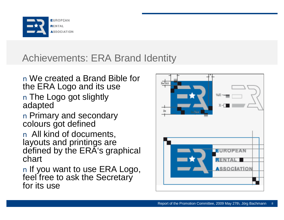

## Achievements: ERA Brand Identity

#### n We created a Brand Bible for the ERA Logo and its use

n The Logo got slightly adapted

n Primary and secondary colours got defined

n All kind of documents, layouts and printings are defined by the ERA's graphical chart

n If you want to use ERA Logo, feel free to ask the Secretary for its use

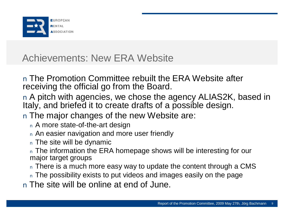

n The Promotion Committee rebuilt the ERA Website after receiving the official go from the Board.

n A pitch with agencies, we chose the agency ALIAS2K, based in Italy, and briefed it to create drafts of a possible design.

- n The major changes of the new Website are:
	- <sup>n</sup> A more state-of-the-art design
	- <sup>n</sup> An easier navigation and more user friendly
	- <sup>n</sup> The site will be dynamic

n The information the ERA homepage shows will be interesting for our major target groups

- n There is a much more easy way to update the content through a CMS
- <sup>n</sup> The possibility exists to put videos and images easily on the page
- n The site will be online at end of June.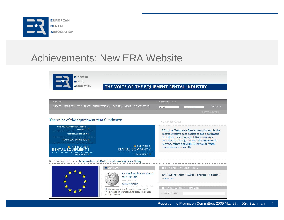

| <b>EUROPEAN</b><br><b>RENTAL</b><br><b>ASSOCIATION</b>                                                                                                     | THE VOICE OF THE EQUIPMENT RENTAL INDUSTRY                                                                |                                                                                                                                                                                                                                                             |                                    |
|------------------------------------------------------------------------------------------------------------------------------------------------------------|-----------------------------------------------------------------------------------------------------------|-------------------------------------------------------------------------------------------------------------------------------------------------------------------------------------------------------------------------------------------------------------|------------------------------------|
| <b>MONE</b>                                                                                                                                                |                                                                                                           | <b>MEMBER LOCIN</b>                                                                                                                                                                                                                                         |                                    |
|                                                                                                                                                            | ABOUT * MEMBERS * WHY RENT * PUBLICATIONS * EVENTS * NEWS * CONTACT US                                    | E-mail<br>                                                                                                                                                                                                                                                  | * LOGIN >                          |
|                                                                                                                                                            |                                                                                                           |                                                                                                                                                                                                                                                             | LOST PASSWORD                      |
| The voice of the equipment rental industry                                                                                                                 |                                                                                                           | <b>M ERA IN 150 WORDS</b>                                                                                                                                                                                                                                   |                                    |
| * ARE YOU SEARCHING FOR A RENTAL<br>COMPANY?<br>* SOME REASON TO RENT<br>* RENT VS BUY? COMPARE HERE ><br><b>MINTERESTED IN</b><br><b>RENTAL EOUIPMENT</b> | <b>N</b> ARE YOU A<br><b>RENTAL COMPANY?</b>                                                              | ERA, the European Rental Association, is the<br>representative association of the equipment<br>rental sector in Europe. ERA nowadays<br>represents over 4,200 rental companies in<br>Europe, either through 12 national rental<br>associations or directly. |                                    |
| * LEARN MORE *                                                                                                                                             | * LEARN MORE                                                                                              |                                                                                                                                                                                                                                                             |                                    |
| M LATEST HEADLINES ( ) Revenues down but Hertz says volumes may be stabilising                                                                             |                                                                                                           |                                                                                                                                                                                                                                                             |                                    |
|                                                                                                                                                            | <b>SI ERA NEWS</b>                                                                                        | Y POPULAR NEWS SHORTCUTS                                                                                                                                                                                                                                    |                                    |
|                                                                                                                                                            | <b>ERA</b> and Equipment Rental<br>on Wikipedia<br>APRIL, 8TH 2009<br>BY ERA PRESIDENT                    | <b>BUY</b><br>EUROPE<br><b>RENT</b><br>MARKET<br>MEMBERSHIP                                                                                                                                                                                                 | <b>BUSINESS</b><br><b>INDUSTRY</b> |
|                                                                                                                                                            | The European Rental Association created<br>two articles on Wikipedia to promote rental<br>on the internet | <b>N SEARCH A RENTAL COMPANY</b><br>COMPANY NAME                                                                                                                                                                                                            |                                    |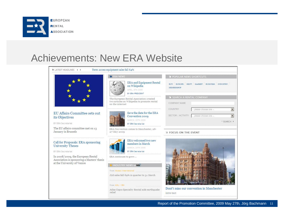

| M LATEST HEADLINES 4 ▶                                                               | Terex access equipment sales fall 64%                                                                     |                                                                                                                       |
|--------------------------------------------------------------------------------------|-----------------------------------------------------------------------------------------------------------|-----------------------------------------------------------------------------------------------------------------------|
|                                                                                      | <b>STERA NEWS</b>                                                                                         | POPULAR NEWS SHORTCUTS                                                                                                |
|                                                                                      | <b>ERA</b> and Equipment Rental<br>on Wikipedia<br>APRIL, 8TH 2009<br>BY ERA PRESIDENT                    | EUROPE<br><b>BUSINESS</b><br>INDUSTRY<br><b>BUY</b><br><b>RENT</b><br>MARKET<br>MEMBERSHIP                            |
|                                                                                      | The European Rental Association created<br>two articles on Wikipedia to promote rental<br>on the internet | SEARCH A RENTAL COMPANY<br>COMPANY NAME                                                                               |
| EU Affairs Committee sets out<br>its Objectives<br><b>BY ERA Secretariat</b>         | Save the date for the ERA<br>Convention 2009<br>MARCH, 20TH 2009                                          | COUNTRY<br>- please choose one --<br>$\blacktriangledown$<br>SECTOR / ACTIVITY<br>- please choose one -<br>* SEARCH ▶ |
| The EU affairs committee met on 13<br>January in Brussels                            | <b>BY ERA Secretariat</b><br>ERA Convention comes to Manchester, 26-<br>27 May 2009                       | <b>N FOCUS ON THE EVENT</b>                                                                                           |
| Call for Proposals: ERA sponsoring<br><b>University Theses</b><br>BY ERA Secretariat | ERA welcomed two new<br>members in March<br>MARCH, 20TH 2009<br><b>BY ERA Secretariat</b>                 |                                                                                                                       |
| In 2008/2009, the European Rental<br>Association is sponsoring a Masters' thesis     | ERA continues to grow                                                                                     |                                                                                                                       |
| at the University of Venice                                                          | INDUSTRY NEWS by khi<br>from: Access International                                                        | ◎ 江中村 田井 田井 中心                                                                                                        |
|                                                                                      | JLG sales fall 69% in quarter to 31 March                                                                 |                                                                                                                       |
|                                                                                      | from: KHL - IRN<br>Atlas Copco Specialty Rental aids earthquake<br>relief                                 | Dont't miss our convention in Manchester<br>intro text                                                                |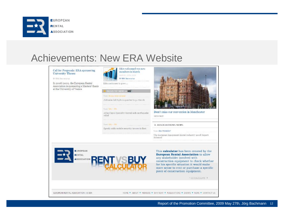

| Call for Proposals: ERA sponsoring<br>University Theses<br><b>EV FRA Georgenetist</b> | ERA welcomed two new<br>members in March.<br>MARCH, 20TH 2006<br>EV ERA Secretarist |                                                                                                                                                                                                                                                                                                 |
|---------------------------------------------------------------------------------------|-------------------------------------------------------------------------------------|-------------------------------------------------------------------------------------------------------------------------------------------------------------------------------------------------------------------------------------------------------------------------------------------------|
| In 2008/2009, the European Rental                                                     | ERA continues to grow                                                               |                                                                                                                                                                                                                                                                                                 |
| Association is sponsoring a Masters' thesis<br>at the University of Venice            |                                                                                     |                                                                                                                                                                                                                                                                                                 |
|                                                                                       | INDUSTRY NEWS IN KHI                                                                |                                                                                                                                                                                                                                                                                                 |
|                                                                                       | Trum Arrass bearing tool.                                                           | <b>Asset</b>                                                                                                                                                                                                                                                                                    |
|                                                                                       | JLG sales fall 69% in quarter to 31 March                                           |                                                                                                                                                                                                                                                                                                 |
|                                                                                       | From HHL - IRA                                                                      |                                                                                                                                                                                                                                                                                                 |
|                                                                                       | Atlas Capco Specialty Rental aids earthquake<br>relief                              | Dont't miss our convention in Manchester<br>intro text                                                                                                                                                                                                                                          |
|                                                                                       | $f_{F00}$ m, 1972 - 1979                                                            |                                                                                                                                                                                                                                                                                                 |
|                                                                                       | Speedy adds mobile security towers to fleet.                                        | <b>24 ASSOCIATIONS NEWS</b>                                                                                                                                                                                                                                                                     |
|                                                                                       |                                                                                     |                                                                                                                                                                                                                                                                                                 |
|                                                                                       |                                                                                     | from: ERA PRESIDENT                                                                                                                                                                                                                                                                             |
|                                                                                       |                                                                                     | The European Equipment Rental Industry 2008 Report<br>Raleased                                                                                                                                                                                                                                  |
| <b>EUROPEAN</b><br><b>RENTAL</b><br><b>ASSOCIATION</b>                                |                                                                                     | This calculator has been created by the<br><b>European Rental Association to allow</b><br>any stakeholder involved with<br>construction equipment to check whether<br>for his specific situation it would make<br>more sense to rent or purchase a specific<br>piece of construction equipment. |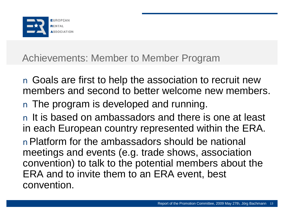

## Achievements: Member to Member Program

n Goals are first to help the association to recruit new members and second to better welcome new members. n The program is developed and running. n It is based on ambassadors and there is one at least in each European country represented within the ERA. nPlatform for the ambassadors should be national meetings and events (e.g. trade shows, association convention) to talk to the potential members about the ERA and to invite them to an ERA event, best convention.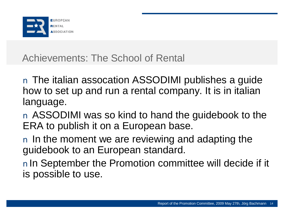

Achievements: The School of Rental

n The italian assocation ASSODIMI publishes a guide how to set up and run a rental company. It is in italian language.

n ASSODIMI was so kind to hand the guidebook to the ERA to publish it on a European base.

n In the moment we are reviewing and adapting the guidebook to an European standard.

nIn September the Promotion committee will decide if it is possible to use.